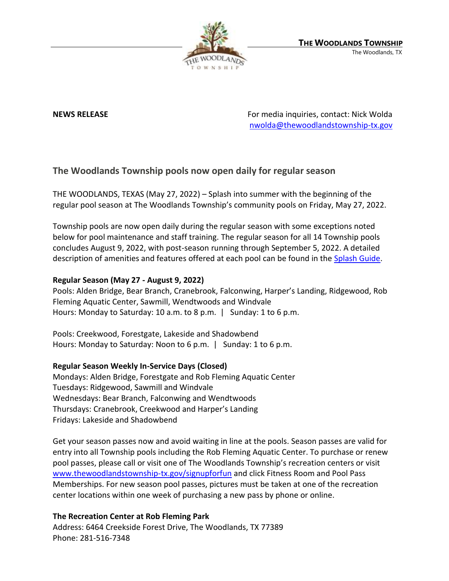

**NEWS RELEASE** For media inquiries, contact: Nick Wolda **NEWS** RELEASE [nwolda@thewoodlandstownship-tx.gov](mailto:nwolda@thewoodlandstownship-tx.gov)

# **The Woodlands Township pools now open daily for regular season**

THE WOODLANDS, TEXAS (May 27, 2022) – Splash into summer with the beginning of the regular pool season at The Woodlands Township's community pools on Friday, May 27, 2022.

Township pools are now open daily during the regular season with some exceptions noted below for pool maintenance and staff training. The regular season for all 14 Township pools concludes August 9, 2022, with post-season running through September 5, 2022. A detailed description of amenities and features offered at each pool can be found in the [Splash Guide.](https://www.thewoodlandstownship-tx.gov/322/Community-Pools)

# **Regular Season (May 27 - August 9, 2022)**

Pools: Alden Bridge, Bear Branch, Cranebrook, Falconwing, Harper's Landing, Ridgewood, Rob Fleming Aquatic Center, Sawmill, Wendtwoods and Windvale Hours: Monday to Saturday: 10 a.m. to 8 p.m. | Sunday: 1 to 6 p.m.

Pools: Creekwood, Forestgate, Lakeside and Shadowbend Hours: Monday to Saturday: Noon to 6 p.m. | Sunday: 1 to 6 p.m.

### **Regular Season Weekly In-Service Days (Closed)**

Mondays: Alden Bridge, Forestgate and Rob Fleming Aquatic Center Tuesdays: Ridgewood, Sawmill and Windvale Wednesdays: Bear Branch, Falconwing and Wendtwoods Thursdays: Cranebrook, Creekwood and Harper's Landing Fridays: Lakeside and Shadowbend

Get your season passes now and avoid waiting in line at the pools. Season passes are valid for entry into all Township pools including the Rob Fleming Aquatic Center. To purchase or renew pool passes, please call or visit one of The Woodlands Township's recreation centers or visit [www.thewoodlandstownship-tx.gov/signupforfun](http://www.thewoodlandstownship-tx.gov/signupforfun) and click Fitness Room and Pool Pass Memberships. For new season pool passes, pictures must be taken at one of the recreation center locations within one week of purchasing a new pass by phone or online.

# **The Recreation Center at Rob Fleming Park**

Address: 6464 Creekside Forest Drive, The Woodlands, TX 77389 Phone: 281-516-7348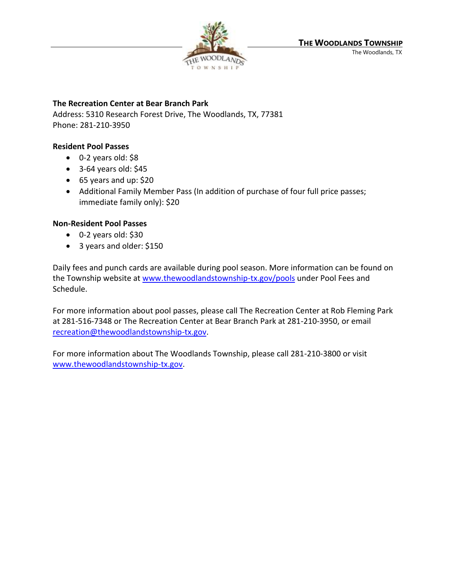

# **The Recreation Center at Bear Branch Park**

Address: 5310 Research Forest Drive, The Woodlands, TX, 77381 Phone: 281-210-3950

# **Resident Pool Passes**

- 0-2 years old: \$8
- $\bullet$  3-64 years old: \$45
- 65 years and up: \$20
- Additional Family Member Pass (In addition of purchase of four full price passes; immediate family only): \$20

# **Non-Resident Pool Passes**

- 0-2 years old: \$30
- 3 years and older: \$150

Daily fees and punch cards are available during pool season. More information can be found on the Township website at [www.thewoodlandstownship-tx.gov/pools](http://www.thewoodlandstownship-tx.gov/pools) under Pool Fees and Schedule.

For more information about pool passes, please call The Recreation Center at Rob Fleming Park at 281-516-7348 or The Recreation Center at Bear Branch Park at 281-210-3950, or email [recreation@thewoodlandstownship-tx.gov.](mailto:recreation@thewoodlandstownship-tx.gov)

For more information about The Woodlands Township, please call 281-210-3800 or visit [www.thewoodlandstownship-tx.gov.](http://www.thewoodlandstownship-tx.gov/)